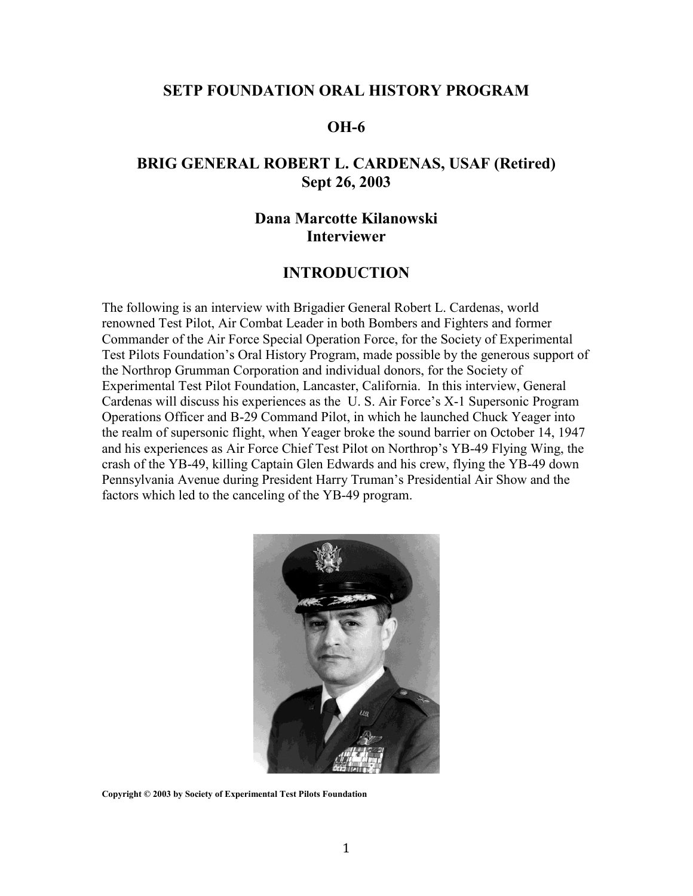#### **SETP FOUNDATION ORAL HISTORY PROGRAM**

### **OH-6**

# **BRIG GENERAL ROBERT L. CARDENAS, USAF (Retired) Sept 26, 2003**

## **Dana Marcotte Kilanowski Interviewer**

#### **INTRODUCTION**

The following is an interview with Brigadier General Robert L. Cardenas, world renowned Test Pilot, Air Combat Leader in both Bombers and Fighters and former Commander of the Air Force Special Operation Force, for the Society of Experimental Test Pilots Foundation's Oral History Program, made possible by the generous support of the Northrop Grumman Corporation and individual donors, for the Society of Experimental Test Pilot Foundation, Lancaster, California. In this interview, General Cardenas will discuss his experiences as the U. S. Air Force's X-1 Supersonic Program Operations Officer and B-29 Command Pilot, in which he launched Chuck Yeager into the realm of supersonic flight, when Yeager broke the sound barrier on October 14, 1947 and his experiences as Air Force Chief Test Pilot on Northrop's YB-49 Flying Wing, the crash of the YB-49, killing Captain Glen Edwards and his crew, flying the YB-49 down Pennsylvania Avenue during President Harry Truman's Presidential Air Show and the factors which led to the canceling of the YB-49 program.



**Copyright © 2003 by Society of Experimental Test Pilots Foundation**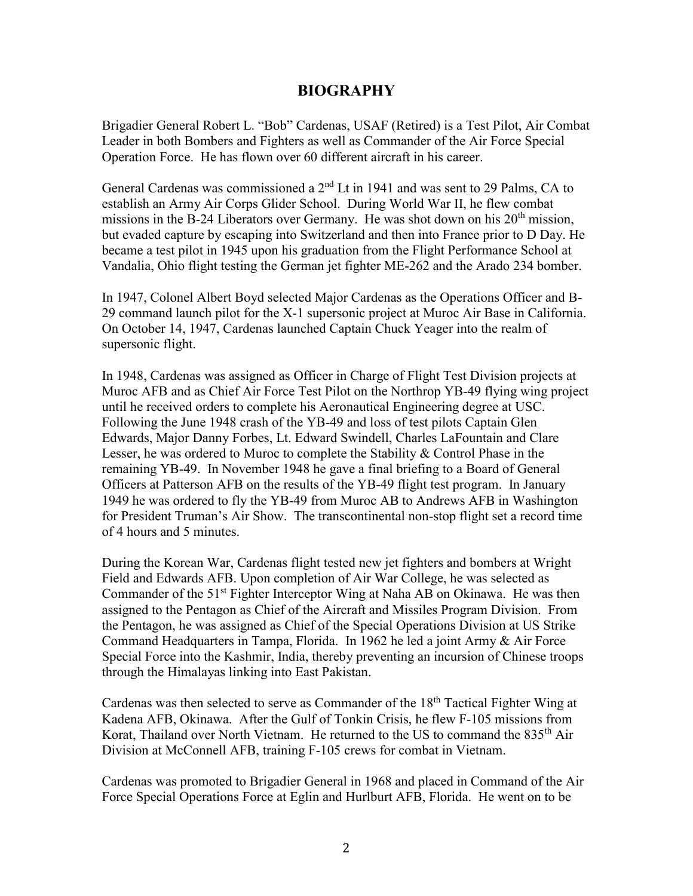### **BIOGRAPHY**

Brigadier General Robert L. "Bob" Cardenas, USAF (Retired) is a Test Pilot, Air Combat Leader in both Bombers and Fighters as well as Commander of the Air Force Special Operation Force. He has flown over 60 different aircraft in his career.

General Cardenas was commissioned a  $2<sup>nd</sup>$  Lt in 1941 and was sent to 29 Palms, CA to establish an Army Air Corps Glider School. During World War II, he flew combat missions in the B-24 Liberators over Germany. He was shot down on his  $20<sup>th</sup>$  mission, but evaded capture by escaping into Switzerland and then into France prior to D Day. He became a test pilot in 1945 upon his graduation from the Flight Performance School at Vandalia, Ohio flight testing the German jet fighter ME-262 and the Arado 234 bomber.

In 1947, Colonel Albert Boyd selected Major Cardenas as the Operations Officer and B-29 command launch pilot for the X-1 supersonic project at Muroc Air Base in California. On October 14, 1947, Cardenas launched Captain Chuck Yeager into the realm of supersonic flight.

In 1948, Cardenas was assigned as Officer in Charge of Flight Test Division projects at Muroc AFB and as Chief Air Force Test Pilot on the Northrop YB-49 flying wing project until he received orders to complete his Aeronautical Engineering degree at USC. Following the June 1948 crash of the YB-49 and loss of test pilots Captain Glen Edwards, Major Danny Forbes, Lt. Edward Swindell, Charles LaFountain and Clare Lesser, he was ordered to Muroc to complete the Stability & Control Phase in the remaining YB-49. In November 1948 he gave a final briefing to a Board of General Officers at Patterson AFB on the results of the YB-49 flight test program. In January 1949 he was ordered to fly the YB-49 from Muroc AB to Andrews AFB in Washington for President Truman's Air Show. The transcontinental non-stop flight set a record time of 4 hours and 5 minutes.

During the Korean War, Cardenas flight tested new jet fighters and bombers at Wright Field and Edwards AFB. Upon completion of Air War College, he was selected as Commander of the 51<sup>st</sup> Fighter Interceptor Wing at Naha AB on Okinawa. He was then assigned to the Pentagon as Chief of the Aircraft and Missiles Program Division. From the Pentagon, he was assigned as Chief of the Special Operations Division at US Strike Command Headquarters in Tampa, Florida. In 1962 he led a joint Army & Air Force Special Force into the Kashmir, India, thereby preventing an incursion of Chinese troops through the Himalayas linking into East Pakistan.

Cardenas was then selected to serve as Commander of the 18th Tactical Fighter Wing at Kadena AFB, Okinawa. After the Gulf of Tonkin Crisis, he flew F-105 missions from Korat, Thailand over North Vietnam. He returned to the US to command the 835<sup>th</sup> Air Division at McConnell AFB, training F-105 crews for combat in Vietnam.

Cardenas was promoted to Brigadier General in 1968 and placed in Command of the Air Force Special Operations Force at Eglin and Hurlburt AFB, Florida. He went on to be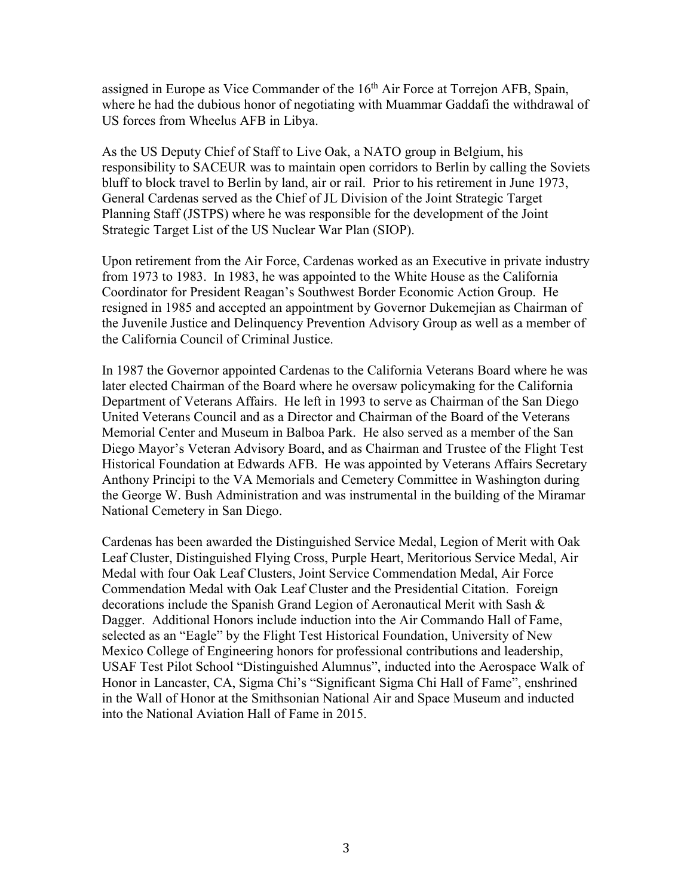assigned in Europe as Vice Commander of the 16<sup>th</sup> Air Force at Torrejon AFB, Spain, where he had the dubious honor of negotiating with Muammar Gaddafi the withdrawal of US forces from Wheelus AFB in Libya.

As the US Deputy Chief of Staff to Live Oak, a NATO group in Belgium, his responsibility to SACEUR was to maintain open corridors to Berlin by calling the Soviets bluff to block travel to Berlin by land, air or rail. Prior to his retirement in June 1973, General Cardenas served as the Chief of JL Division of the Joint Strategic Target Planning Staff (JSTPS) where he was responsible for the development of the Joint Strategic Target List of the US Nuclear War Plan (SIOP).

Upon retirement from the Air Force, Cardenas worked as an Executive in private industry from 1973 to 1983. In 1983, he was appointed to the White House as the California Coordinator for President Reagan's Southwest Border Economic Action Group. He resigned in 1985 and accepted an appointment by Governor Dukemejian as Chairman of the Juvenile Justice and Delinquency Prevention Advisory Group as well as a member of the California Council of Criminal Justice.

In 1987 the Governor appointed Cardenas to the California Veterans Board where he was later elected Chairman of the Board where he oversaw policymaking for the California Department of Veterans Affairs. He left in 1993 to serve as Chairman of the San Diego United Veterans Council and as a Director and Chairman of the Board of the Veterans Memorial Center and Museum in Balboa Park. He also served as a member of the San Diego Mayor's Veteran Advisory Board, and as Chairman and Trustee of the Flight Test Historical Foundation at Edwards AFB. He was appointed by Veterans Affairs Secretary Anthony Principi to the VA Memorials and Cemetery Committee in Washington during the George W. Bush Administration and was instrumental in the building of the Miramar National Cemetery in San Diego.

Cardenas has been awarded the Distinguished Service Medal, Legion of Merit with Oak Leaf Cluster, Distinguished Flying Cross, Purple Heart, Meritorious Service Medal, Air Medal with four Oak Leaf Clusters, Joint Service Commendation Medal, Air Force Commendation Medal with Oak Leaf Cluster and the Presidential Citation. Foreign decorations include the Spanish Grand Legion of Aeronautical Merit with Sash & Dagger. Additional Honors include induction into the Air Commando Hall of Fame, selected as an "Eagle" by the Flight Test Historical Foundation, University of New Mexico College of Engineering honors for professional contributions and leadership, USAF Test Pilot School "Distinguished Alumnus", inducted into the Aerospace Walk of Honor in Lancaster, CA, Sigma Chi's "Significant Sigma Chi Hall of Fame", enshrined in the Wall of Honor at the Smithsonian National Air and Space Museum and inducted into the National Aviation Hall of Fame in 2015.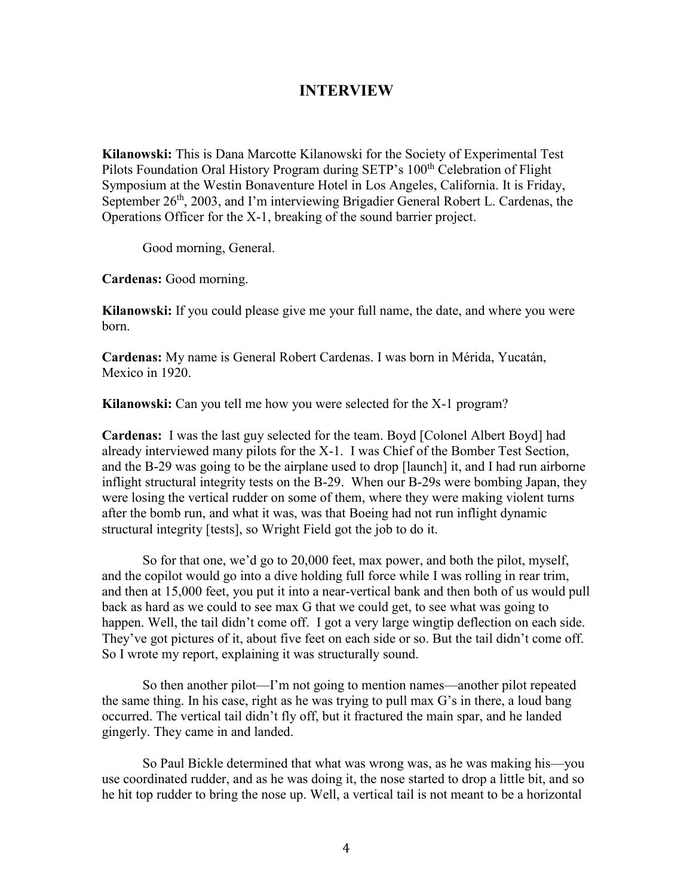### **INTERVIEW**

**Kilanowski:** This is Dana Marcotte Kilanowski for the Society of Experimental Test Pilots Foundation Oral History Program during SETP's 100<sup>th</sup> Celebration of Flight Symposium at the Westin Bonaventure Hotel in Los Angeles, California. It is Friday, September 26<sup>th</sup>, 2003, and I'm interviewing Brigadier General Robert L. Cardenas, the Operations Officer for the X-1, breaking of the sound barrier project.

Good morning, General.

**Cardenas:** Good morning.

**Kilanowski:** If you could please give me your full name, the date, and where you were born.

**Cardenas:** My name is General Robert Cardenas. I was born in Mérida, Yucatán, Mexico in 1920.

**Kilanowski:** Can you tell me how you were selected for the X-1 program?

**Cardenas:** I was the last guy selected for the team. Boyd [Colonel Albert Boyd] had already interviewed many pilots for the X-1. I was Chief of the Bomber Test Section, and the B-29 was going to be the airplane used to drop [launch] it, and I had run airborne inflight structural integrity tests on the B-29. When our B-29s were bombing Japan, they were losing the vertical rudder on some of them, where they were making violent turns after the bomb run, and what it was, was that Boeing had not run inflight dynamic structural integrity [tests], so Wright Field got the job to do it.

So for that one, we'd go to 20,000 feet, max power, and both the pilot, myself, and the copilot would go into a dive holding full force while I was rolling in rear trim, and then at 15,000 feet, you put it into a near-vertical bank and then both of us would pull back as hard as we could to see max G that we could get, to see what was going to happen. Well, the tail didn't come off. I got a very large wingtip deflection on each side. They've got pictures of it, about five feet on each side or so. But the tail didn't come off. So I wrote my report, explaining it was structurally sound.

So then another pilot—I'm not going to mention names—another pilot repeated the same thing. In his case, right as he was trying to pull max G's in there, a loud bang occurred. The vertical tail didn't fly off, but it fractured the main spar, and he landed gingerly. They came in and landed.

So Paul Bickle determined that what was wrong was, as he was making his—you use coordinated rudder, and as he was doing it, the nose started to drop a little bit, and so he hit top rudder to bring the nose up. Well, a vertical tail is not meant to be a horizontal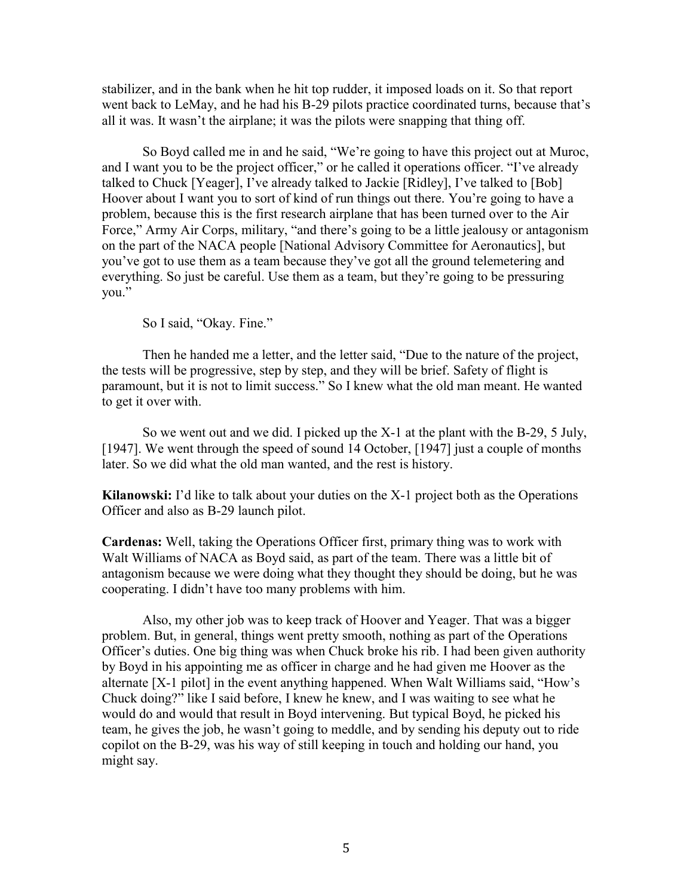stabilizer, and in the bank when he hit top rudder, it imposed loads on it. So that report went back to LeMay, and he had his B-29 pilots practice coordinated turns, because that's all it was. It wasn't the airplane; it was the pilots were snapping that thing off.

So Boyd called me in and he said, "We're going to have this project out at Muroc, and I want you to be the project officer," or he called it operations officer. "I've already talked to Chuck [Yeager], I've already talked to Jackie [Ridley], I've talked to [Bob] Hoover about I want you to sort of kind of run things out there. You're going to have a problem, because this is the first research airplane that has been turned over to the Air Force," Army Air Corps, military, "and there's going to be a little jealousy or antagonism on the part of the NACA people [National Advisory Committee for Aeronautics], but you've got to use them as a team because they've got all the ground telemetering and everything. So just be careful. Use them as a team, but they're going to be pressuring you."

So I said, "Okay. Fine."

Then he handed me a letter, and the letter said, "Due to the nature of the project, the tests will be progressive, step by step, and they will be brief. Safety of flight is paramount, but it is not to limit success." So I knew what the old man meant. He wanted to get it over with.

So we went out and we did. I picked up the X-1 at the plant with the B-29, 5 July, [1947]. We went through the speed of sound 14 October, [1947] just a couple of months later. So we did what the old man wanted, and the rest is history.

**Kilanowski:** I'd like to talk about your duties on the X-1 project both as the Operations Officer and also as B-29 launch pilot.

**Cardenas:** Well, taking the Operations Officer first, primary thing was to work with Walt Williams of NACA as Boyd said, as part of the team. There was a little bit of antagonism because we were doing what they thought they should be doing, but he was cooperating. I didn't have too many problems with him.

Also, my other job was to keep track of Hoover and Yeager. That was a bigger problem. But, in general, things went pretty smooth, nothing as part of the Operations Officer's duties. One big thing was when Chuck broke his rib. I had been given authority by Boyd in his appointing me as officer in charge and he had given me Hoover as the alternate [X-1 pilot] in the event anything happened. When Walt Williams said, "How's Chuck doing?" like I said before, I knew he knew, and I was waiting to see what he would do and would that result in Boyd intervening. But typical Boyd, he picked his team, he gives the job, he wasn't going to meddle, and by sending his deputy out to ride copilot on the B-29, was his way of still keeping in touch and holding our hand, you might say.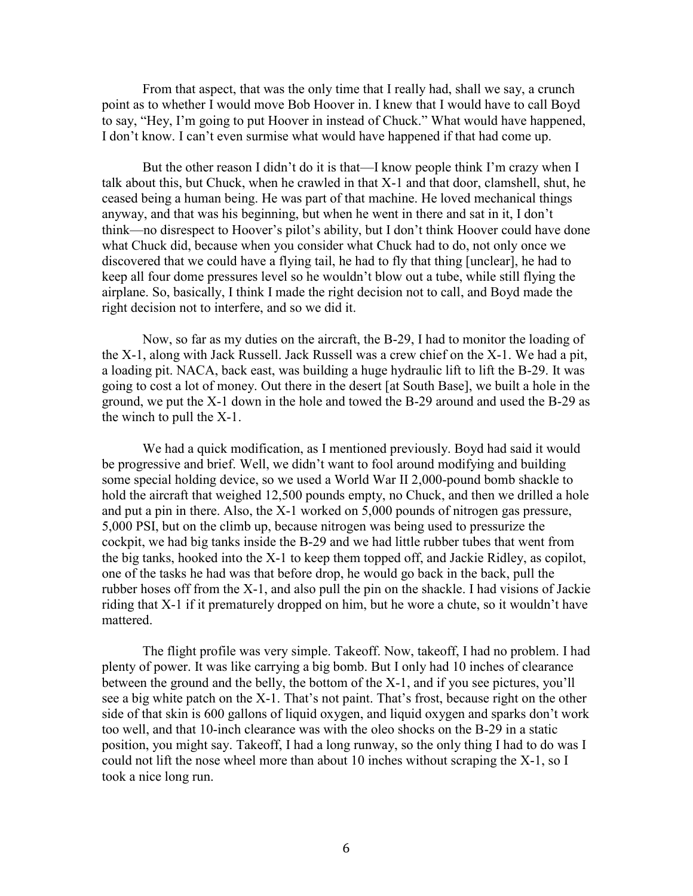From that aspect, that was the only time that I really had, shall we say, a crunch point as to whether I would move Bob Hoover in. I knew that I would have to call Boyd to say, "Hey, I'm going to put Hoover in instead of Chuck." What would have happened, I don't know. I can't even surmise what would have happened if that had come up.

But the other reason I didn't do it is that—I know people think I'm crazy when I talk about this, but Chuck, when he crawled in that X-1 and that door, clamshell, shut, he ceased being a human being. He was part of that machine. He loved mechanical things anyway, and that was his beginning, but when he went in there and sat in it, I don't think—no disrespect to Hoover's pilot's ability, but I don't think Hoover could have done what Chuck did, because when you consider what Chuck had to do, not only once we discovered that we could have a flying tail, he had to fly that thing [unclear], he had to keep all four dome pressures level so he wouldn't blow out a tube, while still flying the airplane. So, basically, I think I made the right decision not to call, and Boyd made the right decision not to interfere, and so we did it.

Now, so far as my duties on the aircraft, the B-29, I had to monitor the loading of the X-1, along with Jack Russell. Jack Russell was a crew chief on the X-1. We had a pit, a loading pit. NACA, back east, was building a huge hydraulic lift to lift the B-29. It was going to cost a lot of money. Out there in the desert [at South Base], we built a hole in the ground, we put the X-1 down in the hole and towed the B-29 around and used the B-29 as the winch to pull the X-1.

We had a quick modification, as I mentioned previously. Boyd had said it would be progressive and brief. Well, we didn't want to fool around modifying and building some special holding device, so we used a World War II 2,000-pound bomb shackle to hold the aircraft that weighed 12,500 pounds empty, no Chuck, and then we drilled a hole and put a pin in there. Also, the X-1 worked on 5,000 pounds of nitrogen gas pressure, 5,000 PSI, but on the climb up, because nitrogen was being used to pressurize the cockpit, we had big tanks inside the B-29 and we had little rubber tubes that went from the big tanks, hooked into the X-1 to keep them topped off, and Jackie Ridley, as copilot, one of the tasks he had was that before drop, he would go back in the back, pull the rubber hoses off from the X-1, and also pull the pin on the shackle. I had visions of Jackie riding that X-1 if it prematurely dropped on him, but he wore a chute, so it wouldn't have mattered.

The flight profile was very simple. Takeoff. Now, takeoff, I had no problem. I had plenty of power. It was like carrying a big bomb. But I only had 10 inches of clearance between the ground and the belly, the bottom of the X-1, and if you see pictures, you'll see a big white patch on the X-1. That's not paint. That's frost, because right on the other side of that skin is 600 gallons of liquid oxygen, and liquid oxygen and sparks don't work too well, and that 10-inch clearance was with the oleo shocks on the B-29 in a static position, you might say. Takeoff, I had a long runway, so the only thing I had to do was I could not lift the nose wheel more than about 10 inches without scraping the X-1, so I took a nice long run.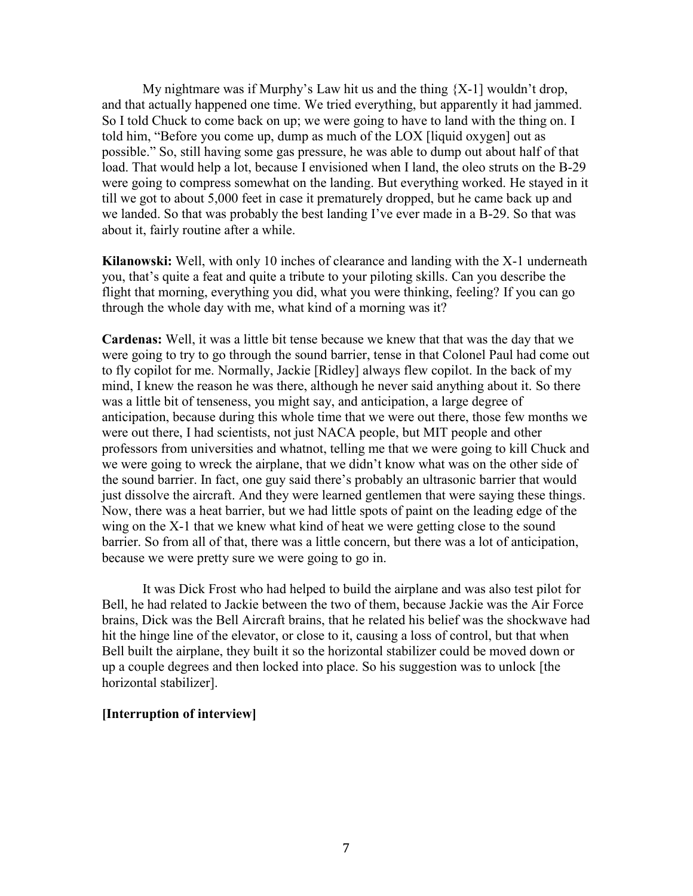My nightmare was if Murphy's Law hit us and the thing  ${X-1}$  wouldn't drop, and that actually happened one time. We tried everything, but apparently it had jammed. So I told Chuck to come back on up; we were going to have to land with the thing on. I told him, "Before you come up, dump as much of the LOX [liquid oxygen] out as possible." So, still having some gas pressure, he was able to dump out about half of that load. That would help a lot, because I envisioned when I land, the oleo struts on the B-29 were going to compress somewhat on the landing. But everything worked. He stayed in it till we got to about 5,000 feet in case it prematurely dropped, but he came back up and we landed. So that was probably the best landing I've ever made in a B-29. So that was about it, fairly routine after a while.

**Kilanowski:** Well, with only 10 inches of clearance and landing with the X-1 underneath you, that's quite a feat and quite a tribute to your piloting skills. Can you describe the flight that morning, everything you did, what you were thinking, feeling? If you can go through the whole day with me, what kind of a morning was it?

**Cardenas:** Well, it was a little bit tense because we knew that that was the day that we were going to try to go through the sound barrier, tense in that Colonel Paul had come out to fly copilot for me. Normally, Jackie [Ridley] always flew copilot. In the back of my mind, I knew the reason he was there, although he never said anything about it. So there was a little bit of tenseness, you might say, and anticipation, a large degree of anticipation, because during this whole time that we were out there, those few months we were out there, I had scientists, not just NACA people, but MIT people and other professors from universities and whatnot, telling me that we were going to kill Chuck and we were going to wreck the airplane, that we didn't know what was on the other side of the sound barrier. In fact, one guy said there's probably an ultrasonic barrier that would just dissolve the aircraft. And they were learned gentlemen that were saying these things. Now, there was a heat barrier, but we had little spots of paint on the leading edge of the wing on the X-1 that we knew what kind of heat we were getting close to the sound barrier. So from all of that, there was a little concern, but there was a lot of anticipation, because we were pretty sure we were going to go in.

It was Dick Frost who had helped to build the airplane and was also test pilot for Bell, he had related to Jackie between the two of them, because Jackie was the Air Force brains, Dick was the Bell Aircraft brains, that he related his belief was the shockwave had hit the hinge line of the elevator, or close to it, causing a loss of control, but that when Bell built the airplane, they built it so the horizontal stabilizer could be moved down or up a couple degrees and then locked into place. So his suggestion was to unlock [the horizontal stabilizer].

#### **[Interruption of interview]**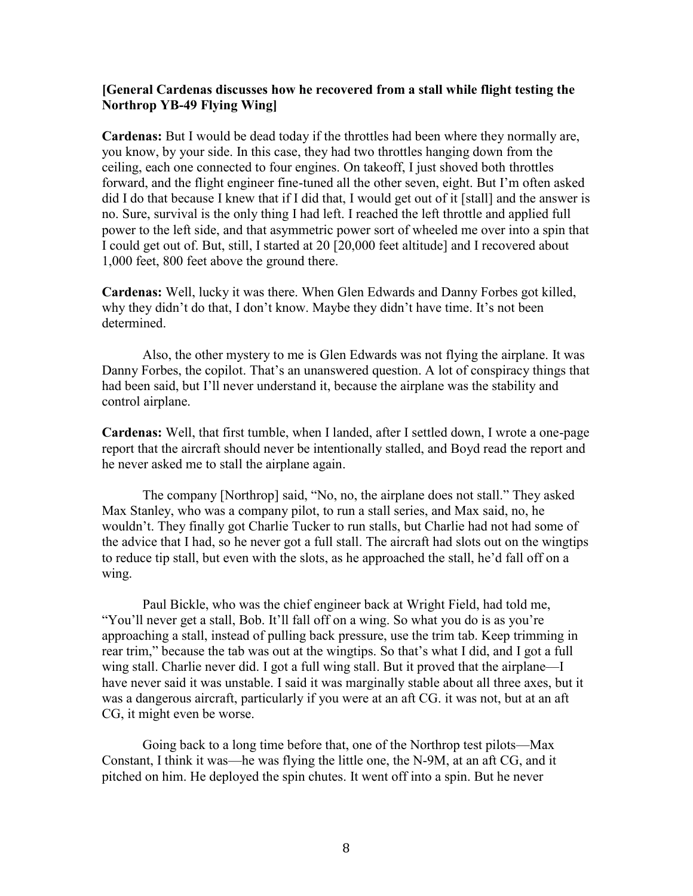#### **[General Cardenas discusses how he recovered from a stall while flight testing the Northrop YB-49 Flying Wing]**

**Cardenas:** But I would be dead today if the throttles had been where they normally are, you know, by your side. In this case, they had two throttles hanging down from the ceiling, each one connected to four engines. On takeoff, I just shoved both throttles forward, and the flight engineer fine-tuned all the other seven, eight. But I'm often asked did I do that because I knew that if I did that, I would get out of it [stall] and the answer is no. Sure, survival is the only thing I had left. I reached the left throttle and applied full power to the left side, and that asymmetric power sort of wheeled me over into a spin that I could get out of. But, still, I started at 20 [20,000 feet altitude] and I recovered about 1,000 feet, 800 feet above the ground there.

**Cardenas:** Well, lucky it was there. When Glen Edwards and Danny Forbes got killed, why they didn't do that, I don't know. Maybe they didn't have time. It's not been determined.

Also, the other mystery to me is Glen Edwards was not flying the airplane. It was Danny Forbes, the copilot. That's an unanswered question. A lot of conspiracy things that had been said, but I'll never understand it, because the airplane was the stability and control airplane.

**Cardenas:** Well, that first tumble, when I landed, after I settled down, I wrote a one-page report that the aircraft should never be intentionally stalled, and Boyd read the report and he never asked me to stall the airplane again.

The company [Northrop] said, "No, no, the airplane does not stall." They asked Max Stanley, who was a company pilot, to run a stall series, and Max said, no, he wouldn't. They finally got Charlie Tucker to run stalls, but Charlie had not had some of the advice that I had, so he never got a full stall. The aircraft had slots out on the wingtips to reduce tip stall, but even with the slots, as he approached the stall, he'd fall off on a wing.

Paul Bickle, who was the chief engineer back at Wright Field, had told me, "You'll never get a stall, Bob. It'll fall off on a wing. So what you do is as you're approaching a stall, instead of pulling back pressure, use the trim tab. Keep trimming in rear trim," because the tab was out at the wingtips. So that's what I did, and I got a full wing stall. Charlie never did. I got a full wing stall. But it proved that the airplane—I have never said it was unstable. I said it was marginally stable about all three axes, but it was a dangerous aircraft, particularly if you were at an aft CG. it was not, but at an aft CG, it might even be worse.

Going back to a long time before that, one of the Northrop test pilots—Max Constant, I think it was—he was flying the little one, the N-9M, at an aft CG, and it pitched on him. He deployed the spin chutes. It went off into a spin. But he never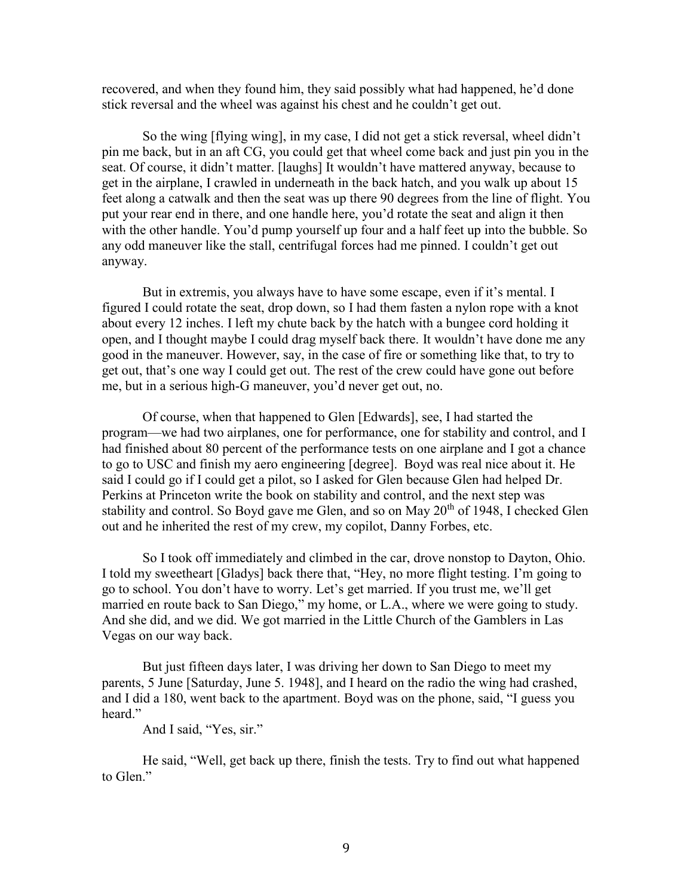recovered, and when they found him, they said possibly what had happened, he'd done stick reversal and the wheel was against his chest and he couldn't get out.

So the wing [flying wing], in my case, I did not get a stick reversal, wheel didn't pin me back, but in an aft CG, you could get that wheel come back and just pin you in the seat. Of course, it didn't matter. [laughs] It wouldn't have mattered anyway, because to get in the airplane, I crawled in underneath in the back hatch, and you walk up about 15 feet along a catwalk and then the seat was up there 90 degrees from the line of flight. You put your rear end in there, and one handle here, you'd rotate the seat and align it then with the other handle. You'd pump yourself up four and a half feet up into the bubble. So any odd maneuver like the stall, centrifugal forces had me pinned. I couldn't get out anyway.

But in extremis, you always have to have some escape, even if it's mental. I figured I could rotate the seat, drop down, so I had them fasten a nylon rope with a knot about every 12 inches. I left my chute back by the hatch with a bungee cord holding it open, and I thought maybe I could drag myself back there. It wouldn't have done me any good in the maneuver. However, say, in the case of fire or something like that, to try to get out, that's one way I could get out. The rest of the crew could have gone out before me, but in a serious high-G maneuver, you'd never get out, no.

Of course, when that happened to Glen [Edwards], see, I had started the program—we had two airplanes, one for performance, one for stability and control, and I had finished about 80 percent of the performance tests on one airplane and I got a chance to go to USC and finish my aero engineering [degree]. Boyd was real nice about it. He said I could go if I could get a pilot, so I asked for Glen because Glen had helped Dr. Perkins at Princeton write the book on stability and control, and the next step was stability and control. So Boyd gave me Glen, and so on May  $20<sup>th</sup>$  of 1948, I checked Glen out and he inherited the rest of my crew, my copilot, Danny Forbes, etc.

So I took off immediately and climbed in the car, drove nonstop to Dayton, Ohio. I told my sweetheart [Gladys] back there that, "Hey, no more flight testing. I'm going to go to school. You don't have to worry. Let's get married. If you trust me, we'll get married en route back to San Diego," my home, or L.A., where we were going to study. And she did, and we did. We got married in the Little Church of the Gamblers in Las Vegas on our way back.

But just fifteen days later, I was driving her down to San Diego to meet my parents, 5 June [Saturday, June 5. 1948], and I heard on the radio the wing had crashed, and I did a 180, went back to the apartment. Boyd was on the phone, said, "I guess you heard."

And I said, "Yes, sir."

He said, "Well, get back up there, finish the tests. Try to find out what happened to Glen."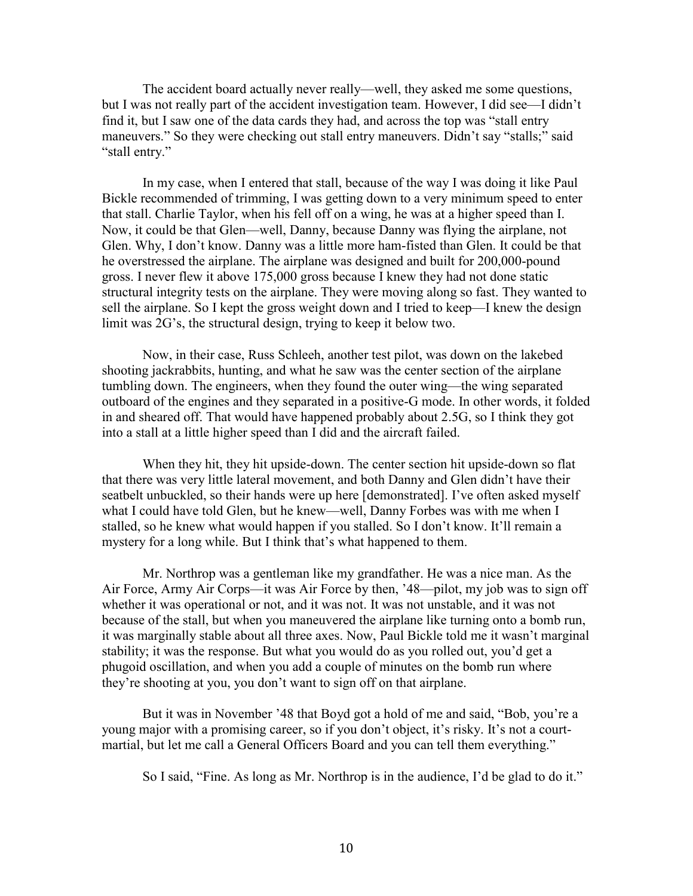The accident board actually never really—well, they asked me some questions, but I was not really part of the accident investigation team. However, I did see—I didn't find it, but I saw one of the data cards they had, and across the top was "stall entry maneuvers." So they were checking out stall entry maneuvers. Didn't say "stalls;" said "stall entry."

In my case, when I entered that stall, because of the way I was doing it like Paul Bickle recommended of trimming, I was getting down to a very minimum speed to enter that stall. Charlie Taylor, when his fell off on a wing, he was at a higher speed than I. Now, it could be that Glen—well, Danny, because Danny was flying the airplane, not Glen. Why, I don't know. Danny was a little more ham-fisted than Glen. It could be that he overstressed the airplane. The airplane was designed and built for 200,000-pound gross. I never flew it above 175,000 gross because I knew they had not done static structural integrity tests on the airplane. They were moving along so fast. They wanted to sell the airplane. So I kept the gross weight down and I tried to keep—I knew the design limit was 2G's, the structural design, trying to keep it below two.

Now, in their case, Russ Schleeh, another test pilot, was down on the lakebed shooting jackrabbits, hunting, and what he saw was the center section of the airplane tumbling down. The engineers, when they found the outer wing—the wing separated outboard of the engines and they separated in a positive-G mode. In other words, it folded in and sheared off. That would have happened probably about 2.5G, so I think they got into a stall at a little higher speed than I did and the aircraft failed.

When they hit, they hit upside-down. The center section hit upside-down so flat that there was very little lateral movement, and both Danny and Glen didn't have their seatbelt unbuckled, so their hands were up here [demonstrated]. I've often asked myself what I could have told Glen, but he knew—well, Danny Forbes was with me when I stalled, so he knew what would happen if you stalled. So I don't know. It'll remain a mystery for a long while. But I think that's what happened to them.

Mr. Northrop was a gentleman like my grandfather. He was a nice man. As the Air Force, Army Air Corps—it was Air Force by then, '48—pilot, my job was to sign off whether it was operational or not, and it was not. It was not unstable, and it was not because of the stall, but when you maneuvered the airplane like turning onto a bomb run, it was marginally stable about all three axes. Now, Paul Bickle told me it wasn't marginal stability; it was the response. But what you would do as you rolled out, you'd get a phugoid oscillation, and when you add a couple of minutes on the bomb run where they're shooting at you, you don't want to sign off on that airplane.

But it was in November '48 that Boyd got a hold of me and said, "Bob, you're a young major with a promising career, so if you don't object, it's risky. It's not a courtmartial, but let me call a General Officers Board and you can tell them everything."

So I said, "Fine. As long as Mr. Northrop is in the audience, I'd be glad to do it."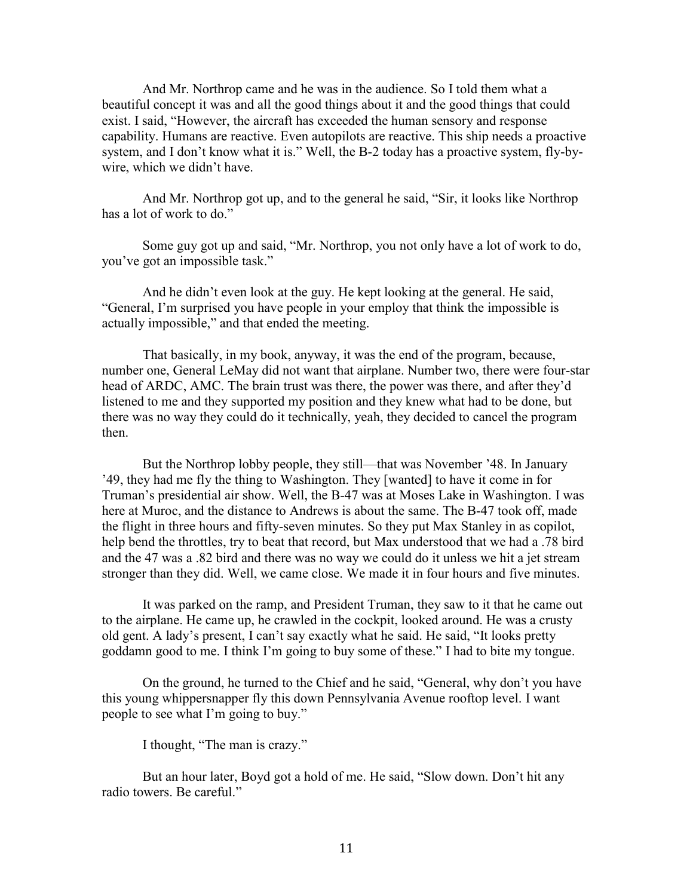And Mr. Northrop came and he was in the audience. So I told them what a beautiful concept it was and all the good things about it and the good things that could exist. I said, "However, the aircraft has exceeded the human sensory and response capability. Humans are reactive. Even autopilots are reactive. This ship needs a proactive system, and I don't know what it is." Well, the B-2 today has a proactive system, fly-bywire, which we didn't have.

And Mr. Northrop got up, and to the general he said, "Sir, it looks like Northrop has a lot of work to do."

Some guy got up and said, "Mr. Northrop, you not only have a lot of work to do, you've got an impossible task."

And he didn't even look at the guy. He kept looking at the general. He said, "General, I'm surprised you have people in your employ that think the impossible is actually impossible," and that ended the meeting.

That basically, in my book, anyway, it was the end of the program, because, number one, General LeMay did not want that airplane. Number two, there were four-star head of ARDC, AMC. The brain trust was there, the power was there, and after they'd listened to me and they supported my position and they knew what had to be done, but there was no way they could do it technically, yeah, they decided to cancel the program then.

But the Northrop lobby people, they still—that was November '48. In January '49, they had me fly the thing to Washington. They [wanted] to have it come in for Truman's presidential air show. Well, the B-47 was at Moses Lake in Washington. I was here at Muroc, and the distance to Andrews is about the same. The B-47 took off, made the flight in three hours and fifty-seven minutes. So they put Max Stanley in as copilot, help bend the throttles, try to beat that record, but Max understood that we had a .78 bird and the 47 was a .82 bird and there was no way we could do it unless we hit a jet stream stronger than they did. Well, we came close. We made it in four hours and five minutes.

It was parked on the ramp, and President Truman, they saw to it that he came out to the airplane. He came up, he crawled in the cockpit, looked around. He was a crusty old gent. A lady's present, I can't say exactly what he said. He said, "It looks pretty goddamn good to me. I think I'm going to buy some of these." I had to bite my tongue.

On the ground, he turned to the Chief and he said, "General, why don't you have this young whippersnapper fly this down Pennsylvania Avenue rooftop level. I want people to see what I'm going to buy."

I thought, "The man is crazy."

But an hour later, Boyd got a hold of me. He said, "Slow down. Don't hit any radio towers. Be careful."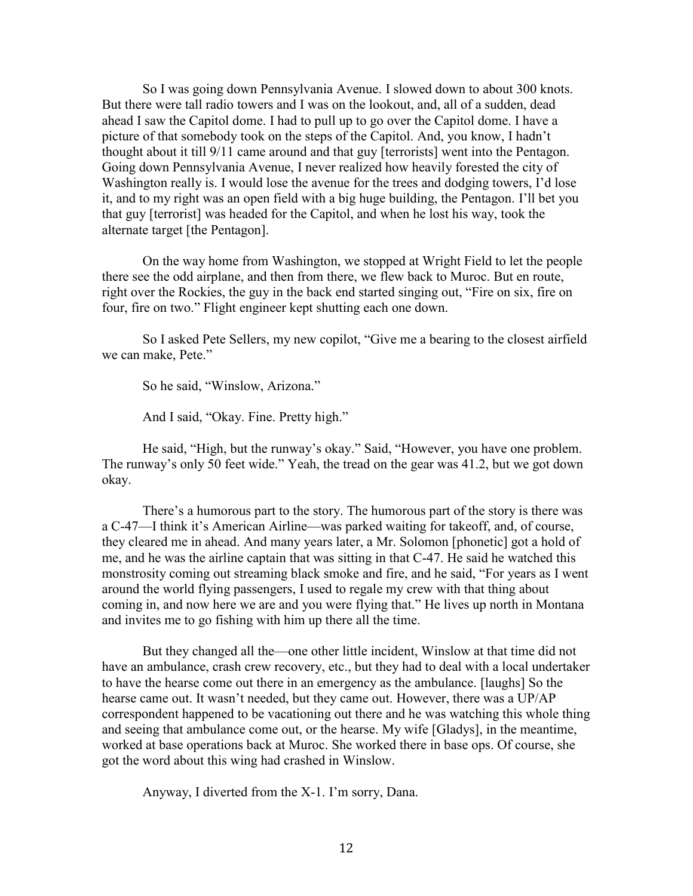So I was going down Pennsylvania Avenue. I slowed down to about 300 knots. But there were tall radio towers and I was on the lookout, and, all of a sudden, dead ahead I saw the Capitol dome. I had to pull up to go over the Capitol dome. I have a picture of that somebody took on the steps of the Capitol. And, you know, I hadn't thought about it till 9/11 came around and that guy [terrorists] went into the Pentagon. Going down Pennsylvania Avenue, I never realized how heavily forested the city of Washington really is. I would lose the avenue for the trees and dodging towers, I'd lose it, and to my right was an open field with a big huge building, the Pentagon. I'll bet you that guy [terrorist] was headed for the Capitol, and when he lost his way, took the alternate target [the Pentagon].

On the way home from Washington, we stopped at Wright Field to let the people there see the odd airplane, and then from there, we flew back to Muroc. But en route, right over the Rockies, the guy in the back end started singing out, "Fire on six, fire on four, fire on two." Flight engineer kept shutting each one down.

So I asked Pete Sellers, my new copilot, "Give me a bearing to the closest airfield we can make, Pete."

So he said, "Winslow, Arizona."

And I said, "Okay. Fine. Pretty high."

He said, "High, but the runway's okay." Said, "However, you have one problem. The runway's only 50 feet wide." Yeah, the tread on the gear was 41.2, but we got down okay.

There's a humorous part to the story. The humorous part of the story is there was a C-47—I think it's American Airline—was parked waiting for takeoff, and, of course, they cleared me in ahead. And many years later, a Mr. Solomon [phonetic] got a hold of me, and he was the airline captain that was sitting in that C-47. He said he watched this monstrosity coming out streaming black smoke and fire, and he said, "For years as I went around the world flying passengers, I used to regale my crew with that thing about coming in, and now here we are and you were flying that." He lives up north in Montana and invites me to go fishing with him up there all the time.

But they changed all the—one other little incident, Winslow at that time did not have an ambulance, crash crew recovery, etc., but they had to deal with a local undertaker to have the hearse come out there in an emergency as the ambulance. [laughs] So the hearse came out. It wasn't needed, but they came out. However, there was a UP/AP correspondent happened to be vacationing out there and he was watching this whole thing and seeing that ambulance come out, or the hearse. My wife [Gladys], in the meantime, worked at base operations back at Muroc. She worked there in base ops. Of course, she got the word about this wing had crashed in Winslow.

Anyway, I diverted from the X-1. I'm sorry, Dana.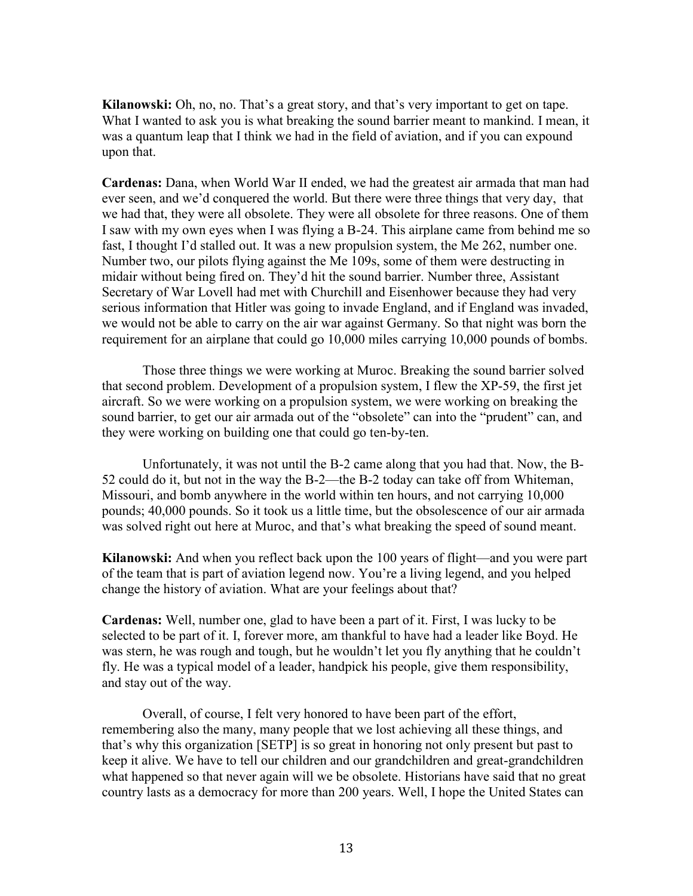**Kilanowski:** Oh, no, no. That's a great story, and that's very important to get on tape. What I wanted to ask you is what breaking the sound barrier meant to mankind. I mean, it was a quantum leap that I think we had in the field of aviation, and if you can expound upon that.

**Cardenas:** Dana, when World War II ended, we had the greatest air armada that man had ever seen, and we'd conquered the world. But there were three things that very day, that we had that, they were all obsolete. They were all obsolete for three reasons. One of them I saw with my own eyes when I was flying a B-24. This airplane came from behind me so fast, I thought I'd stalled out. It was a new propulsion system, the Me 262, number one. Number two, our pilots flying against the Me 109s, some of them were destructing in midair without being fired on. They'd hit the sound barrier. Number three, Assistant Secretary of War Lovell had met with Churchill and Eisenhower because they had very serious information that Hitler was going to invade England, and if England was invaded, we would not be able to carry on the air war against Germany. So that night was born the requirement for an airplane that could go 10,000 miles carrying 10,000 pounds of bombs.

Those three things we were working at Muroc. Breaking the sound barrier solved that second problem. Development of a propulsion system, I flew the XP-59, the first jet aircraft. So we were working on a propulsion system, we were working on breaking the sound barrier, to get our air armada out of the "obsolete" can into the "prudent" can, and they were working on building one that could go ten-by-ten.

Unfortunately, it was not until the B-2 came along that you had that. Now, the B-52 could do it, but not in the way the B-2—the B-2 today can take off from Whiteman, Missouri, and bomb anywhere in the world within ten hours, and not carrying 10,000 pounds; 40,000 pounds. So it took us a little time, but the obsolescence of our air armada was solved right out here at Muroc, and that's what breaking the speed of sound meant.

**Kilanowski:** And when you reflect back upon the 100 years of flight—and you were part of the team that is part of aviation legend now. You're a living legend, and you helped change the history of aviation. What are your feelings about that?

**Cardenas:** Well, number one, glad to have been a part of it. First, I was lucky to be selected to be part of it. I, forever more, am thankful to have had a leader like Boyd. He was stern, he was rough and tough, but he wouldn't let you fly anything that he couldn't fly. He was a typical model of a leader, handpick his people, give them responsibility, and stay out of the way.

Overall, of course, I felt very honored to have been part of the effort, remembering also the many, many people that we lost achieving all these things, and that's why this organization [SETP] is so great in honoring not only present but past to keep it alive. We have to tell our children and our grandchildren and great-grandchildren what happened so that never again will we be obsolete. Historians have said that no great country lasts as a democracy for more than 200 years. Well, I hope the United States can